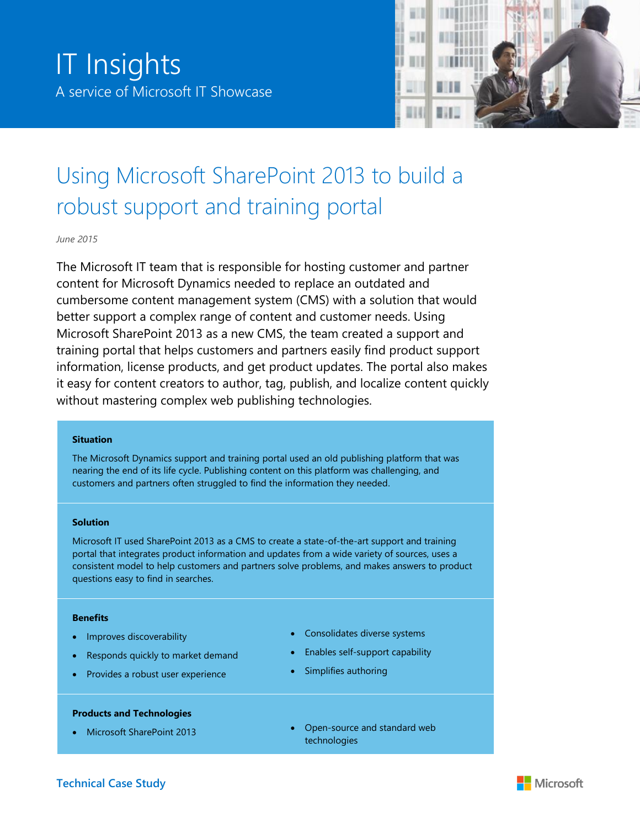

# Using Microsoft SharePoint 2013 to build a robust support and training portal

*June 2015*

The Microsoft IT team that is responsible for hosting customer and partner content for Microsoft Dynamics needed to replace an outdated and cumbersome content management system (CMS) with a solution that would better support a complex range of content and customer needs. Using Microsoft SharePoint 2013 as a new CMS, the team created a support and training portal that helps customers and partners easily find product support information, license products, and get product updates. The portal also makes it easy for content creators to author, tag, publish, and localize content quickly without mastering complex web publishing technologies.

#### **Situation**

The Microsoft Dynamics support and training portal used an old publishing platform that was nearing the end of its life cycle. Publishing content on this platform was challenging, and customers and partners often struggled to find the information they needed.

#### **Solution**

Microsoft IT used SharePoint 2013 as a CMS to create a state-of-the-art support and training portal that integrates product information and updates from a wide variety of sources, uses a consistent model to help customers and partners solve problems, and makes answers to product questions easy to find in searches.

#### **Benefits**

- Improves discoverability
- Responds quickly to market demand
- Provides a robust user experience

#### **Products and Technologies**

- Consolidates diverse systems
- Enables self-support capability
- Simplifies authoring
- Microsoft SharePoint 2013 **e** Open-source and standard web technologies

## **Technical Case Study**

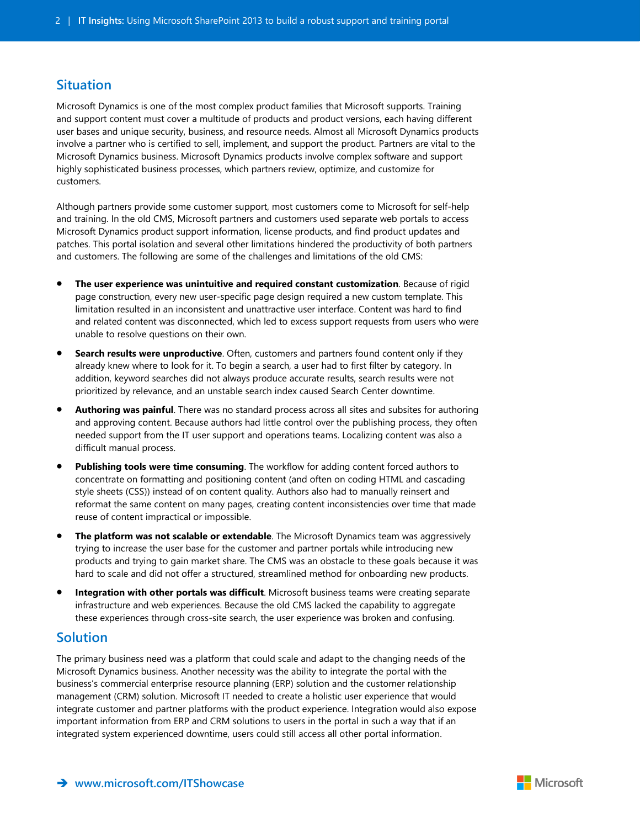## **Situation**

Microsoft Dynamics is one of the most complex product families that Microsoft supports. Training and support content must cover a multitude of products and product versions, each having different user bases and unique security, business, and resource needs. Almost all Microsoft Dynamics products involve a partner who is certified to sell, implement, and support the product. Partners are vital to the Microsoft Dynamics business. Microsoft Dynamics products involve complex software and support highly sophisticated business processes, which partners review, optimize, and customize for customers.

Although partners provide some customer support, most customers come to Microsoft for self-help and training. In the old CMS, Microsoft partners and customers used separate web portals to access Microsoft Dynamics product support information, license products, and find product updates and patches. This portal isolation and several other limitations hindered the productivity of both partners and customers. The following are some of the challenges and limitations of the old CMS:

- **The user experience was unintuitive and required constant customization**. Because of rigid page construction, every new user-specific page design required a new custom template. This limitation resulted in an inconsistent and unattractive user interface. Content was hard to find and related content was disconnected, which led to excess support requests from users who were unable to resolve questions on their own.
- **Search results were unproductive**. Often, customers and partners found content only if they already knew where to look for it. To begin a search, a user had to first filter by category. In addition, keyword searches did not always produce accurate results, search results were not prioritized by relevance, and an unstable search index caused Search Center downtime.
- **Authoring was painful**. There was no standard process across all sites and subsites for authoring and approving content. Because authors had little control over the publishing process, they often needed support from the IT user support and operations teams. Localizing content was also a difficult manual process.
- **Publishing tools were time consuming**. The workflow for adding content forced authors to concentrate on formatting and positioning content (and often on coding HTML and cascading style sheets (CSS)) instead of on content quality. Authors also had to manually reinsert and reformat the same content on many pages, creating content inconsistencies over time that made reuse of content impractical or impossible.
- **The platform was not scalable or extendable**. The Microsoft Dynamics team was aggressively trying to increase the user base for the customer and partner portals while introducing new products and trying to gain market share. The CMS was an obstacle to these goals because it was hard to scale and did not offer a structured, streamlined method for onboarding new products.
- **Integration with other portals was difficult**. Microsoft business teams were creating separate infrastructure and web experiences. Because the old CMS lacked the capability to aggregate these experiences through cross-site search, the user experience was broken and confusing.

# **Solution**

The primary business need was a platform that could scale and adapt to the changing needs of the Microsoft Dynamics business. Another necessity was the ability to integrate the portal with the business's commercial enterprise resource planning (ERP) solution and the customer relationship management (CRM) solution. Microsoft IT needed to create a holistic user experience that would integrate customer and partner platforms with the product experience. Integration would also expose important information from ERP and CRM solutions to users in the portal in such a way that if an integrated system experienced downtime, users could still access all other portal information.

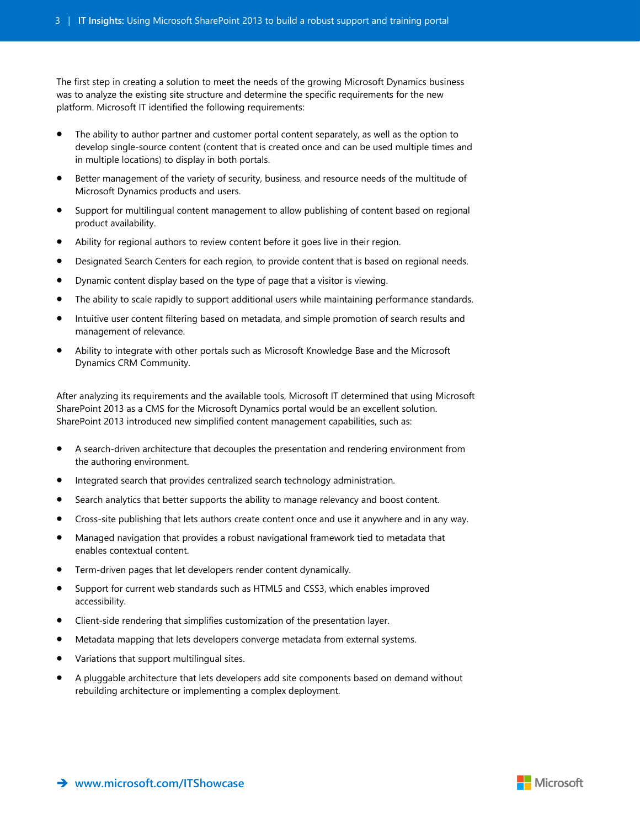The first step in creating a solution to meet the needs of the growing Microsoft Dynamics business was to analyze the existing site structure and determine the specific requirements for the new platform. Microsoft IT identified the following requirements:

- The ability to author partner and customer portal content separately, as well as the option to develop single-source content (content that is created once and can be used multiple times and in multiple locations) to display in both portals.
- Better management of the variety of security, business, and resource needs of the multitude of Microsoft Dynamics products and users.
- Support for multilingual content management to allow publishing of content based on regional product availability.
- Ability for regional authors to review content before it goes live in their region.
- Designated Search Centers for each region, to provide content that is based on regional needs.
- Dynamic content display based on the type of page that a visitor is viewing.
- The ability to scale rapidly to support additional users while maintaining performance standards.
- Intuitive user content filtering based on metadata, and simple promotion of search results and management of relevance.
- Ability to integrate with other portals such as Microsoft Knowledge Base and the Microsoft Dynamics CRM Community.

After analyzing its requirements and the available tools, Microsoft IT determined that using Microsoft SharePoint 2013 as a CMS for the Microsoft Dynamics portal would be an excellent solution. SharePoint 2013 introduced new simplified content management capabilities, such as:

- A search-driven architecture that decouples the presentation and rendering environment from the authoring environment.
- Integrated search that provides centralized search technology administration.
- Search analytics that better supports the ability to manage relevancy and boost content.
- Cross-site publishing that lets authors create content once and use it anywhere and in any way.
- Managed navigation that provides a robust navigational framework tied to metadata that enables contextual content.
- Term-driven pages that let developers render content dynamically.
- Support for current web standards such as HTML5 and CSS3, which enables improved accessibility.
- Client-side rendering that simplifies customization of the presentation layer.
- Metadata mapping that lets developers converge metadata from external systems.
- Variations that support multilingual sites.
- A pluggable architecture that lets developers add site components based on demand without rebuilding architecture or implementing a complex deployment.

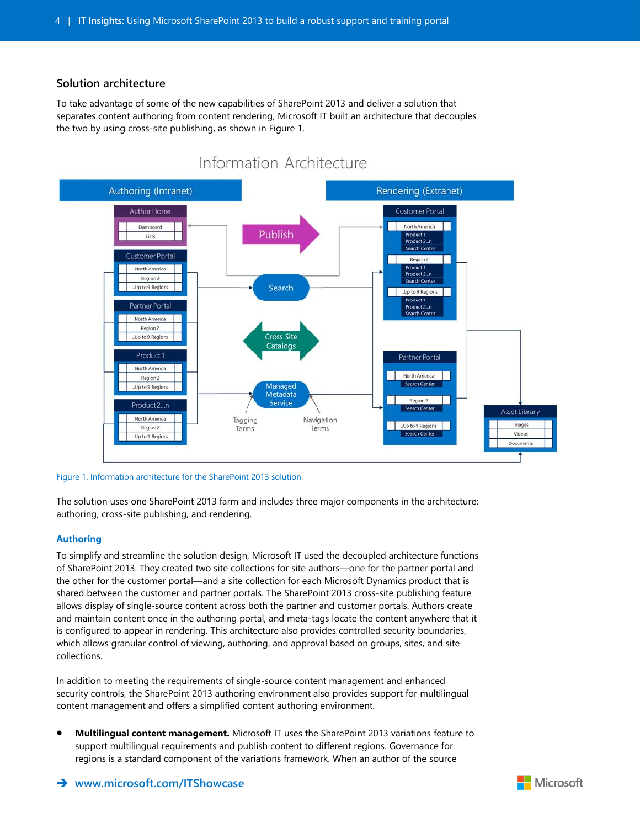### **Solution architecture**

To take advantage of some of the new capabilities of SharePoint 2013 and deliver a solution that separates content authoring from content rendering, Microsoft IT built an architecture that decouples the two by using cross-site publishing, as shown in Figure 1.



Figure 1. Information architecture for the SharePoint 2013 solution

The solution uses one SharePoint 2013 farm and includes three major components in the architecture: authoring, cross-site publishing, and rendering.

#### **Authoring**

To simplify and streamline the solution design, Microsoft IT used the decoupled architecture functions of SharePoint 2013. They created two site collections for site authors—one for the partner portal and the other for the customer portal—and a site collection for each Microsoft Dynamics product that is shared between the customer and partner portals. The SharePoint 2013 cross-site publishing feature allows display of single-source content across both the partner and customer portals. Authors create and maintain content once in the authoring portal, and meta-tags locate the content anywhere that it is configured to appear in rendering. This architecture also provides controlled security boundaries, which allows granular control of viewing, authoring, and approval based on groups, sites, and site collections.

In addition to meeting the requirements of single-source content management and enhanced security controls, the SharePoint 2013 authoring environment also provides support for multilingual content management and offers a simplified content authoring environment.

 **Multilingual content management.** Microsoft IT uses the SharePoint 2013 variations feature to support multilingual requirements and publish content to different regions. Governance for regions is a standard component of the variations framework. When an author of the source

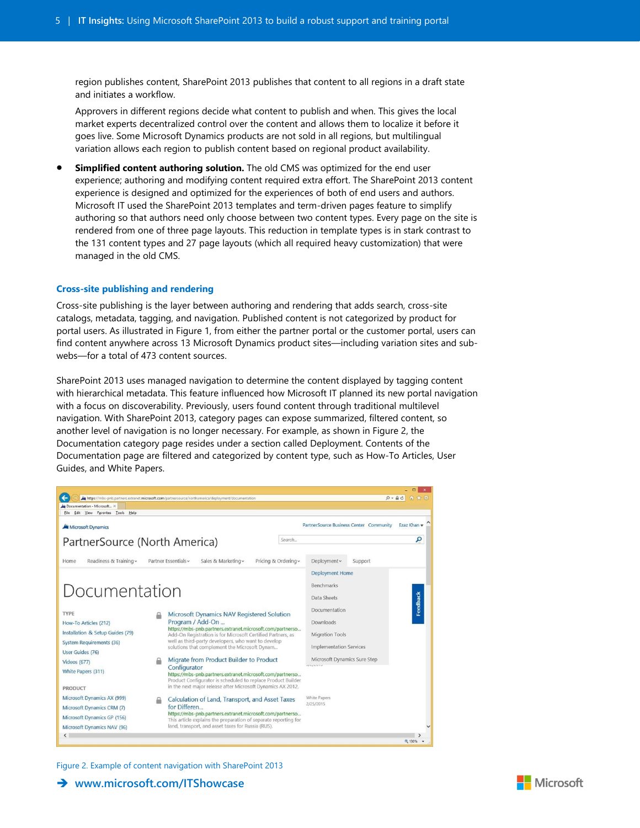region publishes content, SharePoint 2013 publishes that content to all regions in a draft state and initiates a workflow.

Approvers in different regions decide what content to publish and when. This gives the local market experts decentralized control over the content and allows them to localize it before it goes live. Some Microsoft Dynamics products are not sold in all regions, but multilingual variation allows each region to publish content based on regional product availability.

 **Simplified content authoring solution.** The old CMS was optimized for the end user experience; authoring and modifying content required extra effort. The SharePoint 2013 content experience is designed and optimized for the experiences of both of end users and authors. Microsoft IT used the SharePoint 2013 templates and term-driven pages feature to simplify authoring so that authors need only choose between two content types. Every page on the site is rendered from one of three page layouts. This reduction in template types is in stark contrast to the 131 content types and 27 page layouts (which all required heavy customization) that were managed in the old CMS.

#### **Cross-site publishing and rendering**

Cross-site publishing is the layer between authoring and rendering that adds search, cross-site catalogs, metadata, tagging, and navigation. Published content is not categorized by product for portal users. As illustrated in Figure 1, from either the partner portal or the customer portal, users can find content anywhere across 13 Microsoft Dynamics product sites—including variation sites and subwebs—for a total of 473 content sources.

SharePoint 2013 uses managed navigation to determine the content displayed by tagging content with hierarchical metadata. This feature influenced how Microsoft IT planned its new portal navigation with a focus on discoverability. Previously, users found content through traditional multilevel navigation. With SharePoint 2013, category pages can expose summarized, filtered content, so another level of navigation is no longer necessary. For example, as shown in Figure 2, the Documentation category page resides under a section called Deployment. Contents of the Documentation page are filtered and categorized by content type, such as How-To Articles, User Guides, and White Papers.



#### Figure 2. Example of content navigation with SharePoint 2013

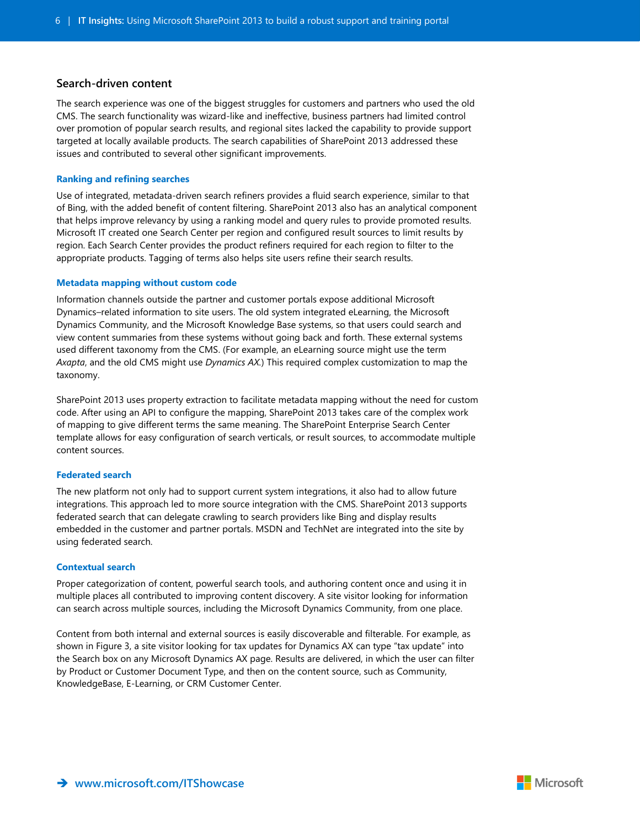#### **Search-driven content**

The search experience was one of the biggest struggles for customers and partners who used the old CMS. The search functionality was wizard-like and ineffective, business partners had limited control over promotion of popular search results, and regional sites lacked the capability to provide support targeted at locally available products. The search capabilities of SharePoint 2013 addressed these issues and contributed to several other significant improvements.

#### **Ranking and refining searches**

Use of integrated, metadata-driven search refiners provides a fluid search experience, similar to that of Bing, with the added benefit of content filtering. SharePoint 2013 also has an analytical component that helps improve relevancy by using a ranking model and query rules to provide promoted results. Microsoft IT created one Search Center per region and configured result sources to limit results by region. Each Search Center provides the product refiners required for each region to filter to the appropriate products. Tagging of terms also helps site users refine their search results.

#### **Metadata mapping without custom code**

Information channels outside the partner and customer portals expose additional Microsoft Dynamics–related information to site users. The old system integrated eLearning, the Microsoft Dynamics Community, and the Microsoft Knowledge Base systems, so that users could search and view content summaries from these systems without going back and forth. These external systems used different taxonomy from the CMS. (For example, an eLearning source might use the term *Axapta*, and the old CMS might use *Dynamics AX.*) This required complex customization to map the taxonomy.

SharePoint 2013 uses property extraction to facilitate metadata mapping without the need for custom code. After using an API to configure the mapping, SharePoint 2013 takes care of the complex work of mapping to give different terms the same meaning. The SharePoint Enterprise Search Center template allows for easy configuration of search verticals, or result sources, to accommodate multiple content sources.

#### **Federated search**

The new platform not only had to support current system integrations, it also had to allow future integrations. This approach led to more source integration with the CMS. SharePoint 2013 supports federated search that can delegate crawling to search providers like Bing and display results embedded in the customer and partner portals. MSDN and TechNet are integrated into the site by using federated search.

#### **Contextual search**

Proper categorization of content, powerful search tools, and authoring content once and using it in multiple places all contributed to improving content discovery. A site visitor looking for information can search across multiple sources, including the Microsoft Dynamics Community, from one place.

Content from both internal and external sources is easily discoverable and filterable. For example, as shown in Figure 3, a site visitor looking for tax updates for Dynamics AX can type "tax update" into the Search box on any Microsoft Dynamics AX page. Results are delivered, in which the user can filter by Product or Customer Document Type, and then on the content source, such as Community, KnowledgeBase, E-Learning, or CRM Customer Center.

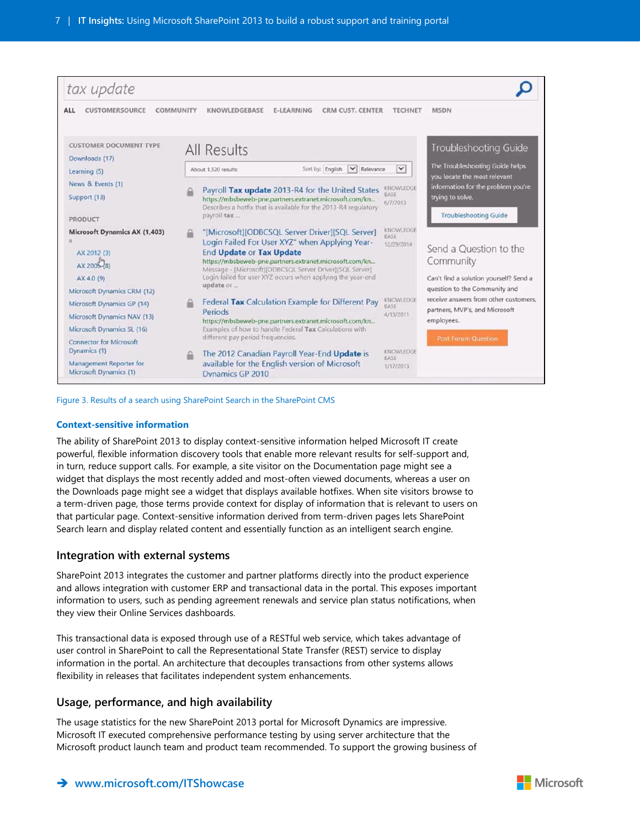

Figure 3. Results of a search using SharePoint Search in the SharePoint CMS

#### **Context-sensitive information**

The ability of SharePoint 2013 to display context-sensitive information helped Microsoft IT create powerful, flexible information discovery tools that enable more relevant results for self-support and, in turn, reduce support calls. For example, a site visitor on the Documentation page might see a widget that displays the most recently added and most-often viewed documents, whereas a user on the Downloads page might see a widget that displays available hotfixes. When site visitors browse to a term-driven page, those terms provide context for display of information that is relevant to users on that particular page. Context-sensitive information derived from term-driven pages lets SharePoint Search learn and display related content and essentially function as an intelligent search engine.

#### **Integration with external systems**

SharePoint 2013 integrates the customer and partner platforms directly into the product experience and allows integration with customer ERP and transactional data in the portal. This exposes important information to users, such as pending agreement renewals and service plan status notifications, when they view their Online Services dashboards.

This transactional data is exposed through use of a RESTful web service, which takes advantage of user control in SharePoint to call the Representational State Transfer (REST) service to display information in the portal. An architecture that decouples transactions from other systems allows flexibility in releases that facilitates independent system enhancements.

#### **Usage, performance, and high availability**

The usage statistics for the new SharePoint 2013 portal for Microsoft Dynamics are impressive. Microsoft IT executed comprehensive performance testing by using server architecture that the Microsoft product launch team and product team recommended. To support the growing business of

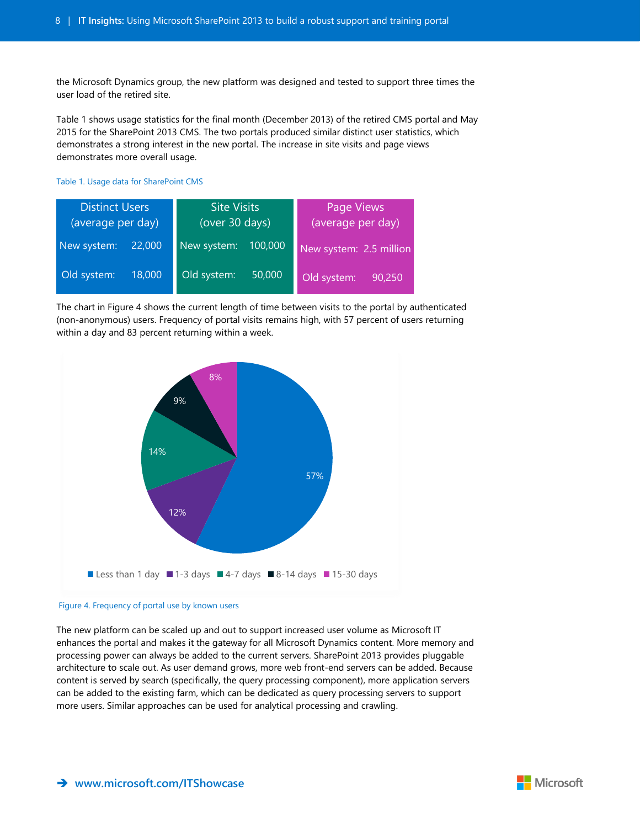the Microsoft Dynamics group, the new platform was designed and tested to support three times the user load of the retired site.

Table 1 shows usage statistics for the final month (December 2013) of the retired CMS portal and May 2015 for the SharePoint 2013 CMS. The two portals produced similar distinct user statistics, which demonstrates a strong interest in the new portal. The increase in site visits and page views demonstrates more overall usage.

Table 1. Usage data for SharePoint CMS

| <b>Distinct Users</b><br>(average per day) |        | <b>Site Visits</b><br>(over 30 days) |         | Page Views<br>(average per day) |        |
|--------------------------------------------|--------|--------------------------------------|---------|---------------------------------|--------|
| New system:                                | 22,000 | New system:                          | 100,000 | New system: 2.5 million         |        |
| Old system:                                | 18,000 | Old system:                          | 50,000  | Old system:                     | 90,250 |

The chart in Figure 4 shows the current length of time between visits to the portal by authenticated (non-anonymous) users. Frequency of portal visits remains high, with 57 percent of users returning within a day and 83 percent returning within a week.



#### Figure 4. Frequency of portal use by known users

The new platform can be scaled up and out to support increased user volume as Microsoft IT enhances the portal and makes it the gateway for all Microsoft Dynamics content. More memory and processing power can always be added to the current servers. SharePoint 2013 provides pluggable architecture to scale out. As user demand grows, more web front-end servers can be added. Because content is served by search (specifically, the query processing component), more application servers can be added to the existing farm, which can be dedicated as query processing servers to support more users. Similar approaches can be used for analytical processing and crawling.

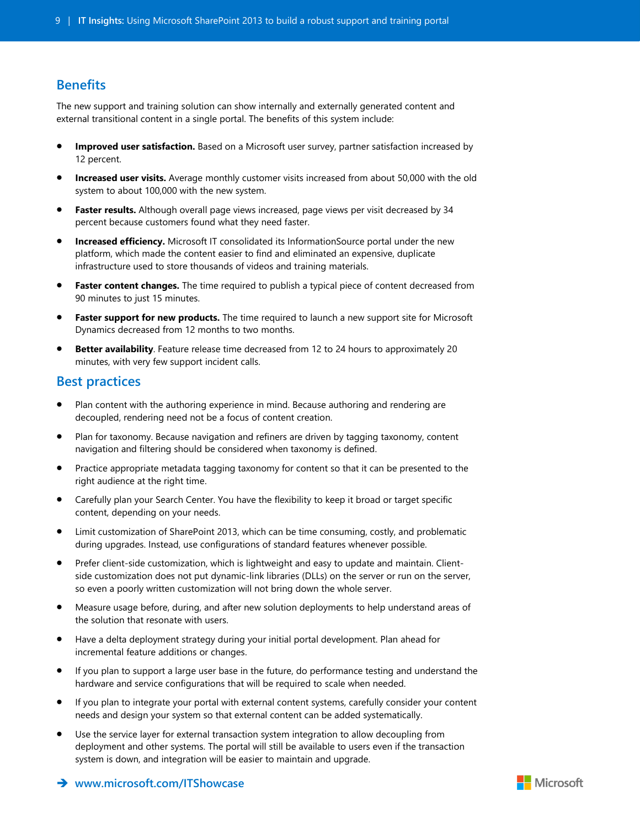# **Benefits**

The new support and training solution can show internally and externally generated content and external transitional content in a single portal. The benefits of this system include:

- **Improved user satisfaction.** Based on a Microsoft user survey, partner satisfaction increased by 12 percent.
- **Increased user visits.** Average monthly customer visits increased from about 50,000 with the old system to about 100,000 with the new system.
- **Faster results.** Although overall page views increased, page views per visit decreased by 34 percent because customers found what they need faster.
- **Increased efficiency.** Microsoft IT consolidated its InformationSource portal under the new platform, which made the content easier to find and eliminated an expensive, duplicate infrastructure used to store thousands of videos and training materials.
- **Faster content changes.** The time required to publish a typical piece of content decreased from 90 minutes to just 15 minutes.
- **Faster support for new products.** The time required to launch a new support site for Microsoft Dynamics decreased from 12 months to two months.
- **Better availability**. Feature release time decreased from 12 to 24 hours to approximately 20 minutes, with very few support incident calls.

## **Best practices**

- Plan content with the authoring experience in mind. Because authoring and rendering are decoupled, rendering need not be a focus of content creation.
- Plan for taxonomy. Because navigation and refiners are driven by tagging taxonomy, content navigation and filtering should be considered when taxonomy is defined.
- Practice appropriate metadata tagging taxonomy for content so that it can be presented to the right audience at the right time.
- Carefully plan your Search Center. You have the flexibility to keep it broad or target specific content, depending on your needs.
- Limit customization of SharePoint 2013, which can be time consuming, costly, and problematic during upgrades. Instead, use configurations of standard features whenever possible.
- Prefer client-side customization, which is lightweight and easy to update and maintain. Clientside customization does not put dynamic-link libraries (DLLs) on the server or run on the server, so even a poorly written customization will not bring down the whole server.
- Measure usage before, during, and after new solution deployments to help understand areas of the solution that resonate with users.
- Have a delta deployment strategy during your initial portal development. Plan ahead for incremental feature additions or changes.
- If you plan to support a large user base in the future, do performance testing and understand the hardware and service configurations that will be required to scale when needed.
- If you plan to integrate your portal with external content systems, carefully consider your content needs and design your system so that external content can be added systematically.
- Use the service layer for external transaction system integration to allow decoupling from deployment and other systems. The portal will still be available to users even if the transaction system is down, and integration will be easier to maintain and upgrade.

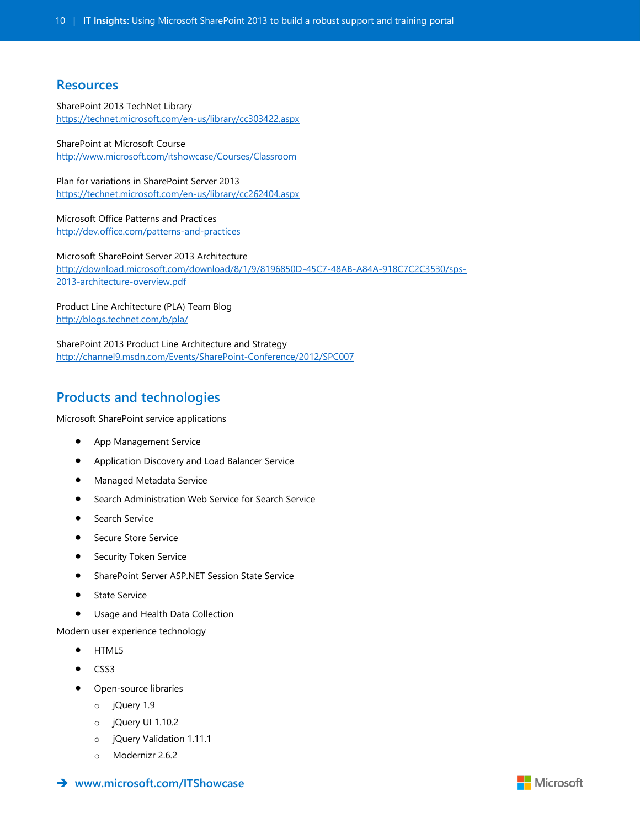## **Resources**

SharePoint 2013 TechNet Library <https://technet.microsoft.com/en-us/library/cc303422.aspx>

SharePoint at Microsoft Course <http://www.microsoft.com/itshowcase/Courses/Classroom>

Plan for variations in SharePoint Server 2013 <https://technet.microsoft.com/en-us/library/cc262404.aspx>

Microsoft Office Patterns and Practices <http://dev.office.com/patterns-and-practices>

Microsoft SharePoint Server 2013 Architecture [http://download.microsoft.com/download/8/1/9/8196850D-45C7-48AB-A84A-918C7C2C3530/sps-](http://download.microsoft.com/download/8/1/9/8196850D-45C7-48AB-A84A-918C7C2C3530/sps-2013-architecture-overview.pdf)[2013-architecture-overview.pdf](http://download.microsoft.com/download/8/1/9/8196850D-45C7-48AB-A84A-918C7C2C3530/sps-2013-architecture-overview.pdf) 

Product Line Architecture (PLA) Team Blog <http://blogs.technet.com/b/pla/>

SharePoint 2013 Product Line Architecture and Strategy <http://channel9.msdn.com/Events/SharePoint-Conference/2012/SPC007>

# **Products and technologies**

[Microsoft SharePoint service applications](http://social.technet.microsoft.com/wiki/contents/articles/12512.sharepoint-2013-service-applications-list.aspx)

- App Management Service
- Application Discovery and Load Balancer Service
- **•** Managed Metadata Service
- **•** Search Administration Web Service for Search Service
- **•** Search Service
- **•** Secure Store Service
- Security Token Service
- SharePoint Server ASP.NET Session State Service
- **State Service**
- **•** Usage and Health Data Collection

Modern user experience technology

- HTML5
- CSS3
- Open-source libraries
	- o jQuery 1.9
	- o jQuery UI 1.10.2
	- o jQuery Validation 1.11.1
	- o Modernizr 2.6.2